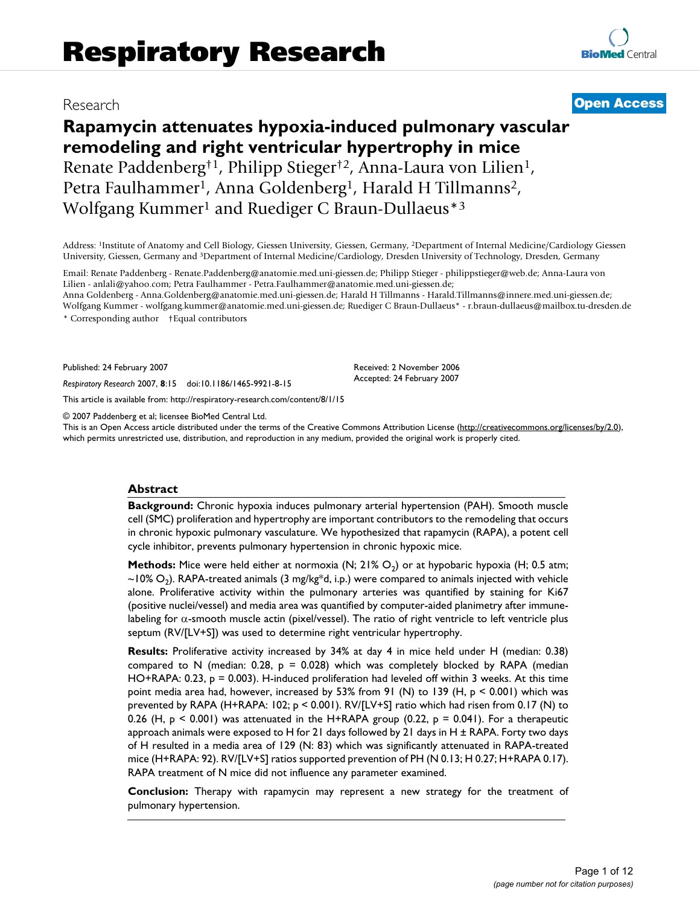# Research **[Open Access](http://www.biomedcentral.com/info/about/charter/)**

# **Rapamycin attenuates hypoxia-induced pulmonary vascular remodeling and right ventricular hypertrophy in mice** Renate Paddenberg†1, Philipp Stieger†2, Anna-Laura von Lilien1, Petra Faulhammer<sup>1</sup>, Anna Goldenberg<sup>1</sup>, Harald H Tillmanns<sup>2</sup>, Wolfgang Kummer<sup>1</sup> and Ruediger C Braun-Dullaeus<sup>\*3</sup>

Address: 1Institute of Anatomy and Cell Biology, Giessen University, Giessen, Germany, 2Department of Internal Medicine/Cardiology Giessen University, Giessen, Germany and 3Department of Internal Medicine/Cardiology, Dresden University of Technology, Dresden, Germany

Email: Renate Paddenberg - Renate.Paddenberg@anatomie.med.uni-giessen.de; Philipp Stieger - philippstieger@web.de; Anna-Laura von Lilien - anlali@yahoo.com; Petra Faulhammer - Petra.Faulhammer@anatomie.med.uni-giessen.de;

Anna Goldenberg - Anna.Goldenberg@anatomie.med.uni-giessen.de; Harald H Tillmanns - Harald.Tillmanns@innere.med.uni-giessen.de; Wolfgang Kummer - wolfgang.kummer@anatomie.med.uni-giessen.de; Ruediger C Braun-Dullaeus\* - r.braun-dullaeus@mailbox.tu-dresden.de \* Corresponding author †Equal contributors

> Received: 2 November 2006 Accepted: 24 February 2007

Published: 24 February 2007

*Respiratory Research* 2007, **8**:15 doi:10.1186/1465-9921-8-15

[This article is available from: http://respiratory-research.com/content/8/1/15](http://respiratory-research.com/content/8/1/15)

© 2007 Paddenberg et al; licensee BioMed Central Ltd.

This is an Open Access article distributed under the terms of the Creative Commons Attribution License [\(http://creativecommons.org/licenses/by/2.0\)](http://creativecommons.org/licenses/by/2.0), which permits unrestricted use, distribution, and reproduction in any medium, provided the original work is properly cited.

#### **Abstract**

**Background:** Chronic hypoxia induces pulmonary arterial hypertension (PAH). Smooth muscle cell (SMC) proliferation and hypertrophy are important contributors to the remodeling that occurs in chronic hypoxic pulmonary vasculature. We hypothesized that rapamycin (RAPA), a potent cell cycle inhibitor, prevents pulmonary hypertension in chronic hypoxic mice.

**Methods:** Mice were held either at normoxia (N; 21% O<sub>2</sub>) or at hypobaric hypoxia (H; 0.5 atm;  $\sim$ 10% O<sub>2</sub>). RAPA-treated animals (3 mg/kg<sup>\*</sup>d, i.p.) were compared to animals injected with vehicle alone. Proliferative activity within the pulmonary arteries was quantified by staining for Ki67 (positive nuclei/vessel) and media area was quantified by computer-aided planimetry after immunelabeling for  $\alpha$ -smooth muscle actin (pixel/vessel). The ratio of right ventricle to left ventricle plus septum (RV/[LV+S]) was used to determine right ventricular hypertrophy.

**Results:** Proliferative activity increased by 34% at day 4 in mice held under H (median: 0.38) compared to N (median: 0.28,  $p = 0.028$ ) which was completely blocked by RAPA (median HO+RAPA: 0.23, p = 0.003). H-induced proliferation had leveled off within 3 weeks. At this time point media area had, however, increased by 53% from 91 (N) to 139 (H, p < 0.001) which was prevented by RAPA (H+RAPA: 102; p < 0.001). RV/[LV+S] ratio which had risen from 0.17 (N) to 0.26 (H,  $p < 0.001$ ) was attenuated in the H+RAPA group (0.22,  $p = 0.041$ ). For a therapeutic approach animals were exposed to H for 21 days followed by 21 days in H  $\pm$  RAPA. Forty two days of H resulted in a media area of 129 (N: 83) which was significantly attenuated in RAPA-treated mice (H+RAPA: 92). RV/[LV+S] ratios supported prevention of PH (N 0.13; H 0.27; H+RAPA 0.17). RAPA treatment of N mice did not influence any parameter examined.

**Conclusion:** Therapy with rapamycin may represent a new strategy for the treatment of pulmonary hypertension.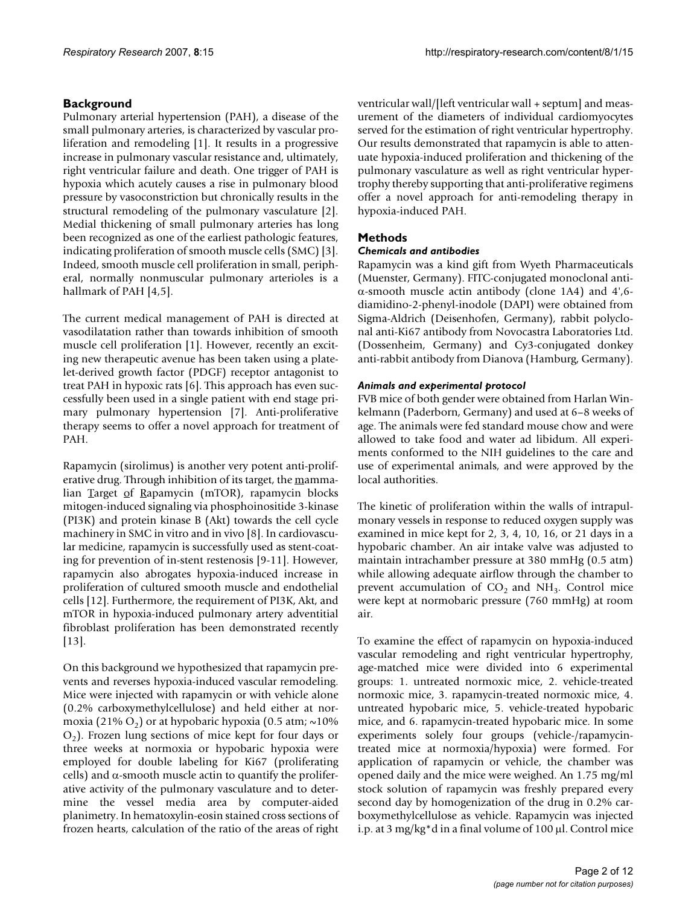# **Background**

Pulmonary arterial hypertension (PAH), a disease of the small pulmonary arteries, is characterized by vascular proliferation and remodeling [1]. It results in a progressive increase in pulmonary vascular resistance and, ultimately, right ventricular failure and death. One trigger of PAH is hypoxia which acutely causes a rise in pulmonary blood pressure by vasoconstriction but chronically results in the structural remodeling of the pulmonary vasculature [2]. Medial thickening of small pulmonary arteries has long been recognized as one of the earliest pathologic features, indicating proliferation of smooth muscle cells (SMC) [3]. Indeed, smooth muscle cell proliferation in small, peripheral, normally nonmuscular pulmonary arterioles is a hallmark of PAH [4,5].

The current medical management of PAH is directed at vasodilatation rather than towards inhibition of smooth muscle cell proliferation [1]. However, recently an exciting new therapeutic avenue has been taken using a platelet-derived growth factor (PDGF) receptor antagonist to treat PAH in hypoxic rats [6]. This approach has even successfully been used in a single patient with end stage primary pulmonary hypertension [7]. Anti-proliferative therapy seems to offer a novel approach for treatment of PAH.

Rapamycin (sirolimus) is another very potent anti-proliferative drug. Through inhibition of its target, the mammalian Target of Rapamycin (mTOR), rapamycin blocks mitogen-induced signaling via phosphoinositide 3-kinase (PI3K) and protein kinase B (Akt) towards the cell cycle machinery in SMC in vitro and in vivo [8]. In cardiovascular medicine, rapamycin is successfully used as stent-coating for prevention of in-stent restenosis [9-11]. However, rapamycin also abrogates hypoxia-induced increase in proliferation of cultured smooth muscle and endothelial cells [12]. Furthermore, the requirement of PI3K, Akt, and mTOR in hypoxia-induced pulmonary artery adventitial fibroblast proliferation has been demonstrated recently [13].

On this background we hypothesized that rapamycin prevents and reverses hypoxia-induced vascular remodeling. Mice were injected with rapamycin or with vehicle alone (0.2% carboxymethylcellulose) and held either at normoxia (21% O<sub>2</sub>) or at hypobaric hypoxia (0.5 atm;  $\sim$ 10%  $O<sub>2</sub>$ ). Frozen lung sections of mice kept for four days or three weeks at normoxia or hypobaric hypoxia were employed for double labeling for Ki67 (proliferating cells) and α-smooth muscle actin to quantify the proliferative activity of the pulmonary vasculature and to determine the vessel media area by computer-aided planimetry. In hematoxylin-eosin stained cross sections of frozen hearts, calculation of the ratio of the areas of right ventricular wall/[left ventricular wall + septum] and measurement of the diameters of individual cardiomyocytes served for the estimation of right ventricular hypertrophy. Our results demonstrated that rapamycin is able to attenuate hypoxia-induced proliferation and thickening of the pulmonary vasculature as well as right ventricular hypertrophy thereby supporting that anti-proliferative regimens offer a novel approach for anti-remodeling therapy in hypoxia-induced PAH.

# **Methods**

# *Chemicals and antibodies*

Rapamycin was a kind gift from Wyeth Pharmaceuticals (Muenster, Germany). FITC-conjugated monoclonal antiα-smooth muscle actin antibody (clone 1A4) and 4',6 diamidino-2-phenyl-inodole (DAPI) were obtained from Sigma-Aldrich (Deisenhofen, Germany), rabbit polyclonal anti-Ki67 antibody from Novocastra Laboratories Ltd. (Dossenheim, Germany) and Cy3-conjugated donkey anti-rabbit antibody from Dianova (Hamburg, Germany).

# *Animals and experimental protocol*

FVB mice of both gender were obtained from Harlan Winkelmann (Paderborn, Germany) and used at 6–8 weeks of age. The animals were fed standard mouse chow and were allowed to take food and water ad libidum. All experiments conformed to the NIH guidelines to the care and use of experimental animals, and were approved by the local authorities.

The kinetic of proliferation within the walls of intrapulmonary vessels in response to reduced oxygen supply was examined in mice kept for 2, 3, 4, 10, 16, or 21 days in a hypobaric chamber. An air intake valve was adjusted to maintain intrachamber pressure at 380 mmHg (0.5 atm) while allowing adequate airflow through the chamber to prevent accumulation of  $CO<sub>2</sub>$  and  $NH<sub>3</sub>$ . Control mice were kept at normobaric pressure (760 mmHg) at room air.

To examine the effect of rapamycin on hypoxia-induced vascular remodeling and right ventricular hypertrophy, age-matched mice were divided into 6 experimental groups: 1. untreated normoxic mice, 2. vehicle-treated normoxic mice, 3. rapamycin-treated normoxic mice, 4. untreated hypobaric mice, 5. vehicle-treated hypobaric mice, and 6. rapamycin-treated hypobaric mice. In some experiments solely four groups (vehicle-/rapamycintreated mice at normoxia/hypoxia) were formed. For application of rapamycin or vehicle, the chamber was opened daily and the mice were weighed. An 1.75 mg/ml stock solution of rapamycin was freshly prepared every second day by homogenization of the drug in 0.2% carboxymethylcellulose as vehicle. Rapamycin was injected i.p. at 3 mg/kg\*d in a final volume of 100 µl. Control mice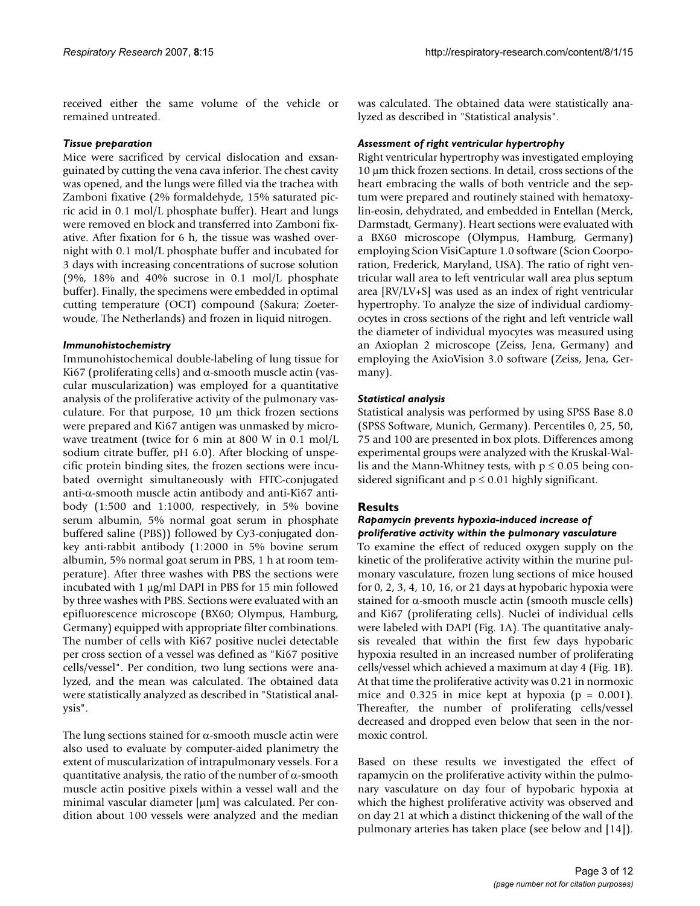received either the same volume of the vehicle or remained untreated.

#### *Tissue preparation*

Mice were sacrificed by cervical dislocation and exsanguinated by cutting the vena cava inferior. The chest cavity was opened, and the lungs were filled via the trachea with Zamboni fixative (2% formaldehyde, 15% saturated picric acid in 0.1 mol/L phosphate buffer). Heart and lungs were removed en block and transferred into Zamboni fixative. After fixation for 6 h, the tissue was washed overnight with 0.1 mol/L phosphate buffer and incubated for 3 days with increasing concentrations of sucrose solution (9%, 18% and 40% sucrose in 0.1 mol/L phosphate buffer). Finally, the specimens were embedded in optimal cutting temperature (OCT) compound (Sakura; Zoeterwoude, The Netherlands) and frozen in liquid nitrogen.

#### *Immunohistochemistry*

Immunohistochemical double-labeling of lung tissue for Ki67 (proliferating cells) and  $\alpha$ -smooth muscle actin (vascular muscularization) was employed for a quantitative analysis of the proliferative activity of the pulmonary vasculature. For that purpose, 10 µm thick frozen sections were prepared and Ki67 antigen was unmasked by microwave treatment (twice for 6 min at 800 W in 0.1 mol/L sodium citrate buffer, pH 6.0). After blocking of unspecific protein binding sites, the frozen sections were incubated overnight simultaneously with FITC-conjugated anti-α-smooth muscle actin antibody and anti-Ki67 antibody (1:500 and 1:1000, respectively, in 5% bovine serum albumin, 5% normal goat serum in phosphate buffered saline (PBS)) followed by Cy3-conjugated donkey anti-rabbit antibody (1:2000 in 5% bovine serum albumin, 5% normal goat serum in PBS, 1 h at room temperature). After three washes with PBS the sections were incubated with 1 µg/ml DAPI in PBS for 15 min followed by three washes with PBS. Sections were evaluated with an epifluorescence microscope (BX60; Olympus, Hamburg, Germany) equipped with appropriate filter combinations. The number of cells with Ki67 positive nuclei detectable per cross section of a vessel was defined as "Ki67 positive cells/vessel". Per condition, two lung sections were analyzed, and the mean was calculated. The obtained data were statistically analyzed as described in "Statistical analysis".

The lung sections stained for  $\alpha$ -smooth muscle actin were also used to evaluate by computer-aided planimetry the extent of muscularization of intrapulmonary vessels. For a quantitative analysis, the ratio of the number of  $\alpha$ -smooth muscle actin positive pixels within a vessel wall and the minimal vascular diameter [µm] was calculated. Per condition about 100 vessels were analyzed and the median

was calculated. The obtained data were statistically analyzed as described in "Statistical analysis".

### *Assessment of right ventricular hypertrophy*

Right ventricular hypertrophy was investigated employing 10 µm thick frozen sections. In detail, cross sections of the heart embracing the walls of both ventricle and the septum were prepared and routinely stained with hematoxylin-eosin, dehydrated, and embedded in Entellan (Merck, Darmstadt, Germany). Heart sections were evaluated with a BX60 microscope (Olympus, Hamburg, Germany) employing Scion VisiCapture 1.0 software (Scion Coorporation, Frederick, Maryland, USA). The ratio of right ventricular wall area to left ventricular wall area plus septum area [RV/LV+S] was used as an index of right ventricular hypertrophy. To analyze the size of individual cardiomyocytes in cross sections of the right and left ventricle wall the diameter of individual myocytes was measured using an Axioplan 2 microscope (Zeiss, Jena, Germany) and employing the AxioVision 3.0 software (Zeiss, Jena, Germany).

# *Statistical analysis*

Statistical analysis was performed by using SPSS Base 8.0 (SPSS Software, Munich, Germany). Percentiles 0, 25, 50, 75 and 100 are presented in box plots. Differences among experimental groups were analyzed with the Kruskal-Wallis and the Mann-Whitney tests, with  $p \leq 0.05$  being considered significant and  $p \le 0.01$  highly significant.

# **Results**

#### *Rapamycin prevents hypoxia-induced increase of proliferative activity within the pulmonary vasculature*

To examine the effect of reduced oxygen supply on the kinetic of the proliferative activity within the murine pulmonary vasculature, frozen lung sections of mice housed for 0, 2, 3, 4, 10, 16, or 21 days at hypobaric hypoxia were stained for  $\alpha$ -smooth muscle actin (smooth muscle cells) and Ki67 (proliferating cells). Nuclei of individual cells were labeled with DAPI (Fig. 1A). The quantitative analysis revealed that within the first few days hypobaric hypoxia resulted in an increased number of proliferating cells/vessel which achieved a maximum at day 4 (Fig. 1B). At that time the proliferative activity was 0.21 in normoxic mice and  $0.325$  in mice kept at hypoxia ( $p = 0.001$ ). Thereafter, the number of proliferating cells/vessel decreased and dropped even below that seen in the normoxic control.

Based on these results we investigated the effect of rapamycin on the proliferative activity within the pulmonary vasculature on day four of hypobaric hypoxia at which the highest proliferative activity was observed and on day 21 at which a distinct thickening of the wall of the pulmonary arteries has taken place (see below and [14]).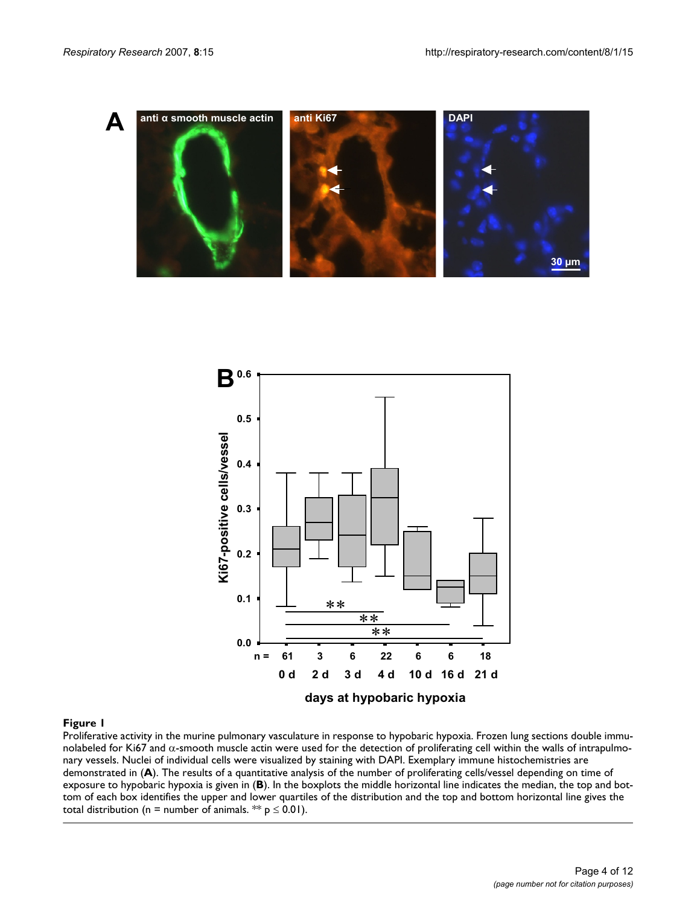



Proliferative activity in the murine pulmonary vasculature in response to hypobaric hypoxia. Frozen lung sections double immunolabeled for Ki67 and α-smooth muscle actin were used for the detection of proliferating cell within the walls of intrapulmonary vessels. Nuclei of individual cells were visualized by staining with DAPI. Exemplary immune histochemistries are demonstrated in (A). The results of a quantitative analysis of the number of proliferating cells/vessel depending on time of exposure to hypobaric hypoxia is given in (**B**). In the boxplots the middle horizontal line indicates the median, the top and bottom of each box identifies the upper and lower quartiles of the distribution and the top and bottom horizontal line gives the total distribution (n = number of animals. \*\*  $p \le 0.01$ ).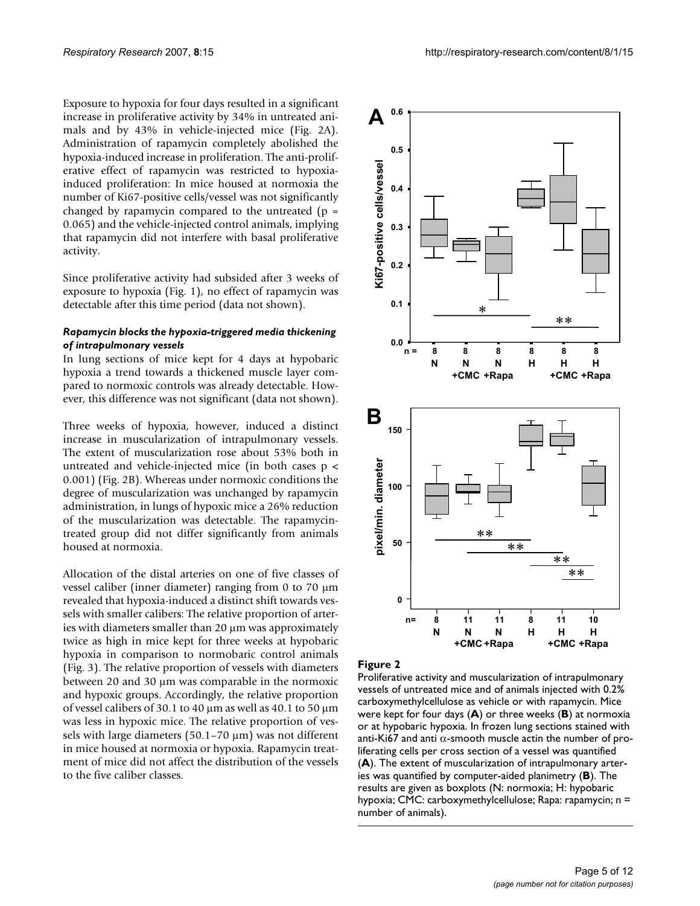Exposure to hypoxia for four days resulted in a significant increase in proliferative activity by 34% in untreated animals and by 43% in vehicle-injected mice (Fig. 2A). Administration of rapamycin completely abolished the hypoxia-induced increase in proliferation. The anti-proliferative effect of rapamycin was restricted to hypoxiainduced proliferation: In mice housed at normoxia the number of Ki67-positive cells/vessel was not significantly changed by rapamycin compared to the untreated  $(p =$ 0.065) and the vehicle-injected control animals, implying that rapamycin did not interfere with basal proliferative activity.

Since proliferative activity had subsided after 3 weeks of exposure to hypoxia (Fig. 1), no effect of rapamycin was detectable after this time period (data not shown).

#### *Rapamycin blocks the hypoxia-triggered media thickening of intrapulmonary vessels*

In lung sections of mice kept for 4 days at hypobaric hypoxia a trend towards a thickened muscle layer compared to normoxic controls was already detectable. However, this difference was not significant (data not shown).

Three weeks of hypoxia, however, induced a distinct increase in muscularization of intrapulmonary vessels. The extent of muscularization rose about 53% both in untreated and vehicle-injected mice (in both cases p < 0.001) (Fig. 2B). Whereas under normoxic conditions the degree of muscularization was unchanged by rapamycin administration, in lungs of hypoxic mice a 26% reduction of the muscularization was detectable. The rapamycintreated group did not differ significantly from animals housed at normoxia.

Allocation of the distal arteries on one of five classes of vessel caliber (inner diameter) ranging from 0 to 70 µm revealed that hypoxia-induced a distinct shift towards vessels with smaller calibers: The relative proportion of arteries with diameters smaller than 20 µm was approximately twice as high in mice kept for three weeks at hypobaric hypoxia in comparison to normobaric control animals (Fig. 3). The relative proportion of vessels with diameters between 20 and 30 µm was comparable in the normoxic and hypoxic groups. Accordingly, the relative proportion of vessel calibers of 30.1 to 40  $\mu$ m as well as 40.1 to 50  $\mu$ m was less in hypoxic mice. The relative proportion of vessels with large diameters ( $50.1-70 \mu m$ ) was not different in mice housed at normoxia or hypoxia. Rapamycin treatment of mice did not affect the distribution of the vessels to the five caliber classes.



#### Figure 2

Proliferative activity and muscularization of intrapulmonary vessels of untreated mice and of animals injected with 0.2% carboxymethylcellulose as vehicle or with rapamycin. Mice were kept for four days (**A**) or three weeks (**B**) at normoxia or at hypobaric hypoxia. In frozen lung sections stained with anti-Ki67 and anti  $\alpha$ -smooth muscle actin the number of proliferating cells per cross section of a vessel was quantified (**A**). The extent of muscularization of intrapulmonary arteries was quantified by computer-aided planimetry (**B**). The results are given as boxplots (N: normoxia; H: hypobaric hypoxia; CMC: carboxymethylcellulose; Rapa: rapamycin; n = number of animals).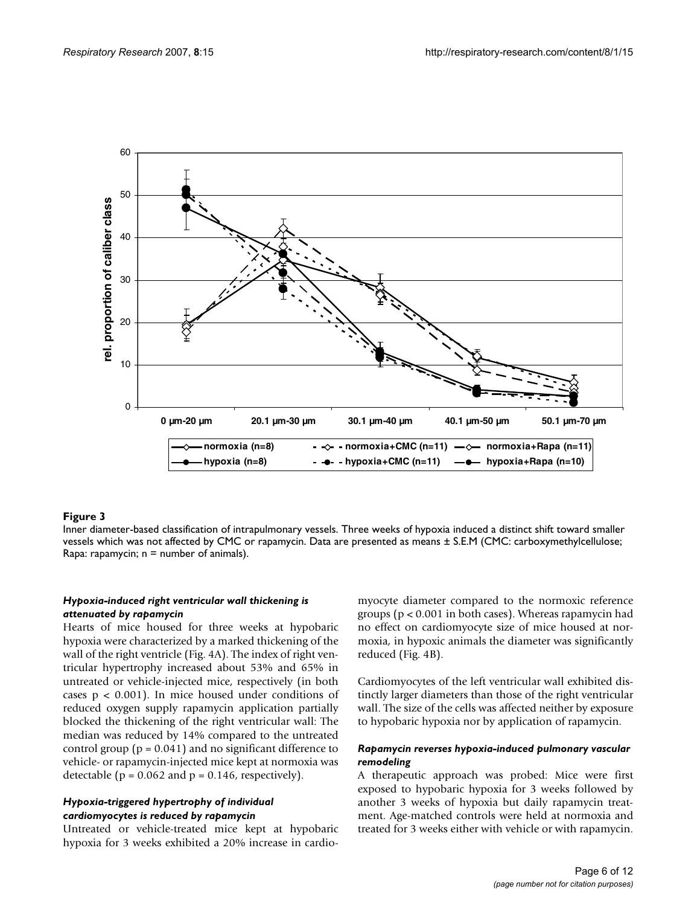

#### Figure 3

Inner diameter-based classification of intrapulmonary vessels. Three weeks of hypoxia induced a distinct shift toward smaller vessels which was not affected by CMC or rapamycin. Data are presented as means ± S.E.M (CMC: carboxymethylcellulose; Rapa: rapamycin;  $n =$  number of animals).

### *Hypoxia-induced right ventricular wall thickening is attenuated by rapamycin*

Hearts of mice housed for three weeks at hypobaric hypoxia were characterized by a marked thickening of the wall of the right ventricle (Fig. 4A). The index of right ventricular hypertrophy increased about 53% and 65% in untreated or vehicle-injected mice, respectively (in both cases p < 0.001). In mice housed under conditions of reduced oxygen supply rapamycin application partially blocked the thickening of the right ventricular wall: The median was reduced by 14% compared to the untreated control group ( $p = 0.041$ ) and no significant difference to vehicle- or rapamycin-injected mice kept at normoxia was detectable ( $p = 0.062$  and  $p = 0.146$ , respectively).

#### *Hypoxia-triggered hypertrophy of individual cardiomyocytes is reduced by rapamycin*

Untreated or vehicle-treated mice kept at hypobaric hypoxia for 3 weeks exhibited a 20% increase in cardiomyocyte diameter compared to the normoxic reference groups (p < 0.001 in both cases). Whereas rapamycin had no effect on cardiomyocyte size of mice housed at normoxia, in hypoxic animals the diameter was significantly reduced (Fig. 4B).

Cardiomyocytes of the left ventricular wall exhibited distinctly larger diameters than those of the right ventricular wall. The size of the cells was affected neither by exposure to hypobaric hypoxia nor by application of rapamycin.

### *Rapamycin reverses hypoxia-induced pulmonary vascular remodeling*

A therapeutic approach was probed: Mice were first exposed to hypobaric hypoxia for 3 weeks followed by another 3 weeks of hypoxia but daily rapamycin treatment. Age-matched controls were held at normoxia and treated for 3 weeks either with vehicle or with rapamycin.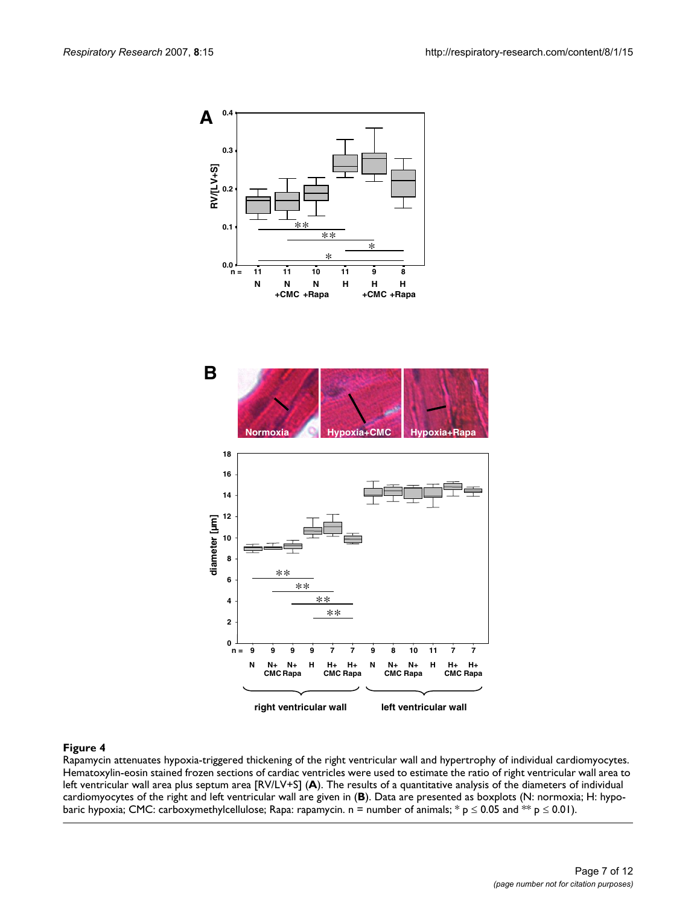

#### Rapamycin attenuates hypoxi **Figure 4** a-triggered thickening of the right ventricular wall and hypertrophy of individual cardiomyocytes

Rapamycin attenuates hypoxia-triggered thickening of the right ventricular wall and hypertrophy of individual cardiomyocytes. Hematoxylin-eosin stained frozen sections of cardiac ventricles were used to estimate the ratio of right ventricular wall area to left ventricular wall area plus septum area [RV/LV+S] (**A**). The results of a quantitative analysis of the diameters of individual cardiomyocytes of the right and left ventricular wall are given in (**B**). Data are presented as boxplots (N: normoxia; H: hypobaric hypoxia; CMC: carboxymethylcellulose; Rapa: rapamycin. n = number of animals; \*  $p \le 0.05$  and \*\*  $p \le 0.01$ ).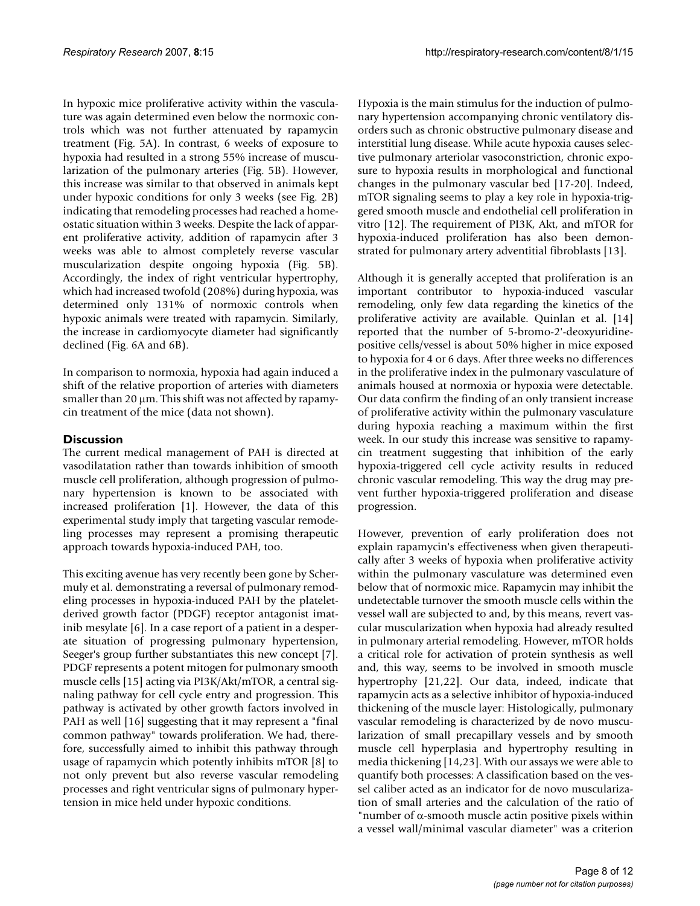In hypoxic mice proliferative activity within the vasculature was again determined even below the normoxic controls which was not further attenuated by rapamycin treatment (Fig. 5A). In contrast, 6 weeks of exposure to hypoxia had resulted in a strong 55% increase of muscularization of the pulmonary arteries (Fig. 5B). However, this increase was similar to that observed in animals kept under hypoxic conditions for only 3 weeks (see Fig. 2B) indicating that remodeling processes had reached a homeostatic situation within 3 weeks. Despite the lack of apparent proliferative activity, addition of rapamycin after 3 weeks was able to almost completely reverse vascular muscularization despite ongoing hypoxia (Fig. 5B). Accordingly, the index of right ventricular hypertrophy, which had increased twofold (208%) during hypoxia, was determined only 131% of normoxic controls when hypoxic animals were treated with rapamycin. Similarly, the increase in cardiomyocyte diameter had significantly declined (Fig. 6A and 6B).

In comparison to normoxia, hypoxia had again induced a shift of the relative proportion of arteries with diameters smaller than 20  $\mu$ m. This shift was not affected by rapamycin treatment of the mice (data not shown).

# **Discussion**

The current medical management of PAH is directed at vasodilatation rather than towards inhibition of smooth muscle cell proliferation, although progression of pulmonary hypertension is known to be associated with increased proliferation [1]. However, the data of this experimental study imply that targeting vascular remodeling processes may represent a promising therapeutic approach towards hypoxia-induced PAH, too.

This exciting avenue has very recently been gone by Schermuly et al. demonstrating a reversal of pulmonary remodeling processes in hypoxia-induced PAH by the plateletderived growth factor (PDGF) receptor antagonist imatinib mesylate [6]. In a case report of a patient in a desperate situation of progressing pulmonary hypertension, Seeger's group further substantiates this new concept [7]. PDGF represents a potent mitogen for pulmonary smooth muscle cells [15] acting via PI3K/Akt/mTOR, a central signaling pathway for cell cycle entry and progression. This pathway is activated by other growth factors involved in PAH as well [16] suggesting that it may represent a "final common pathway" towards proliferation. We had, therefore, successfully aimed to inhibit this pathway through usage of rapamycin which potently inhibits mTOR [8] to not only prevent but also reverse vascular remodeling processes and right ventricular signs of pulmonary hypertension in mice held under hypoxic conditions.

Hypoxia is the main stimulus for the induction of pulmonary hypertension accompanying chronic ventilatory disorders such as chronic obstructive pulmonary disease and interstitial lung disease. While acute hypoxia causes selective pulmonary arteriolar vasoconstriction, chronic exposure to hypoxia results in morphological and functional changes in the pulmonary vascular bed [17-20]. Indeed, mTOR signaling seems to play a key role in hypoxia-triggered smooth muscle and endothelial cell proliferation in vitro [12]. The requirement of PI3K, Akt, and mTOR for hypoxia-induced proliferation has also been demonstrated for pulmonary artery adventitial fibroblasts [13].

Although it is generally accepted that proliferation is an important contributor to hypoxia-induced vascular remodeling, only few data regarding the kinetics of the proliferative activity are available. Quinlan et al. [14] reported that the number of 5-bromo-2'-deoxyuridinepositive cells/vessel is about 50% higher in mice exposed to hypoxia for 4 or 6 days. After three weeks no differences in the proliferative index in the pulmonary vasculature of animals housed at normoxia or hypoxia were detectable. Our data confirm the finding of an only transient increase of proliferative activity within the pulmonary vasculature during hypoxia reaching a maximum within the first week. In our study this increase was sensitive to rapamycin treatment suggesting that inhibition of the early hypoxia-triggered cell cycle activity results in reduced chronic vascular remodeling. This way the drug may prevent further hypoxia-triggered proliferation and disease progression.

However, prevention of early proliferation does not explain rapamycin's effectiveness when given therapeutically after 3 weeks of hypoxia when proliferative activity within the pulmonary vasculature was determined even below that of normoxic mice. Rapamycin may inhibit the undetectable turnover the smooth muscle cells within the vessel wall are subjected to and, by this means, revert vascular muscularization when hypoxia had already resulted in pulmonary arterial remodeling. However, mTOR holds a critical role for activation of protein synthesis as well and, this way, seems to be involved in smooth muscle hypertrophy [21,22]. Our data, indeed, indicate that rapamycin acts as a selective inhibitor of hypoxia-induced thickening of the muscle layer: Histologically, pulmonary vascular remodeling is characterized by de novo muscularization of small precapillary vessels and by smooth muscle cell hyperplasia and hypertrophy resulting in media thickening [14,23]. With our assays we were able to quantify both processes: A classification based on the vessel caliber acted as an indicator for de novo muscularization of small arteries and the calculation of the ratio of "number of  $\alpha$ -smooth muscle actin positive pixels within a vessel wall/minimal vascular diameter" was a criterion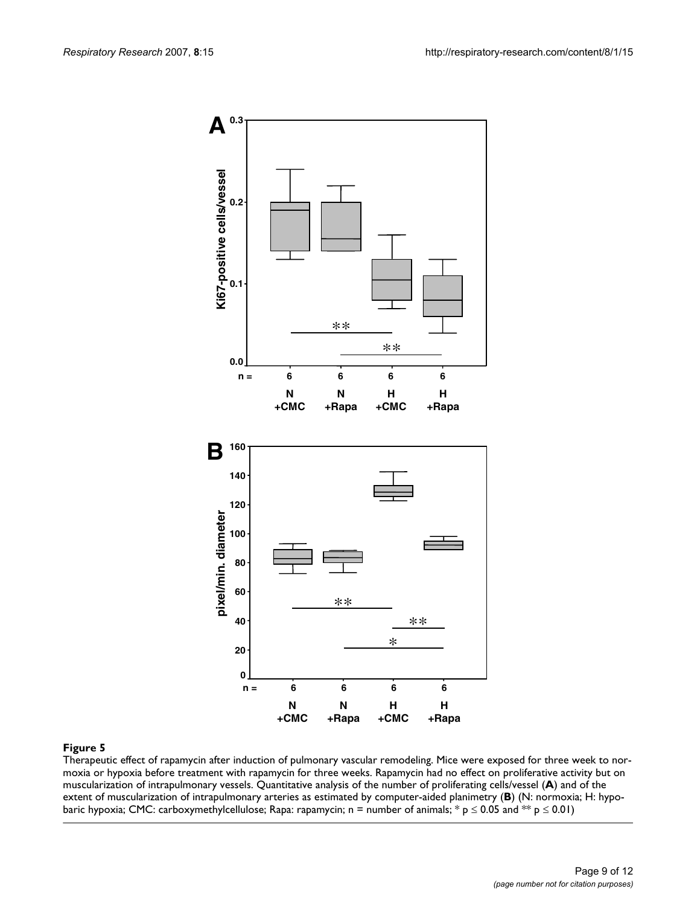

#### Figure 5

Therapeutic effect of rapamycin after induction of pulmonary vascular remodeling. Mice were exposed for three week to normoxia or hypoxia before treatment with rapamycin for three weeks. Rapamycin had no effect on proliferative activity but on muscularization of intrapulmonary vessels. Quantitative analysis of the number of proliferating cells/vessel (**A**) and of the extent of muscularization of intrapulmonary arteries as estimated by computer-aided planimetry (**B**) (N: normoxia; H: hypobaric hypoxia; CMC: carboxymethylcellulose; Rapa: rapamycin; n = number of animals; \*  $p \le 0.05$  and \*\*  $p \le 0.01$ )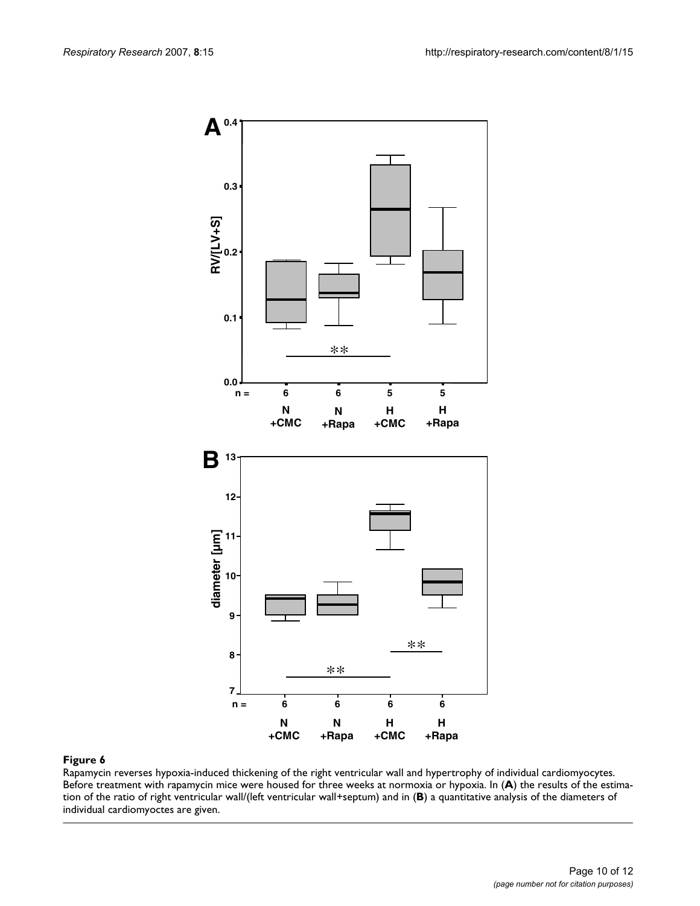

Rapamycin reverses hypoxia-induced thickening of the right ventricular wall and hypertrophy of individual cardiomyocytes. Before treatment with rapamycin mice were housed for three weeks at normoxia or hypoxia. In (**A**) the results of the estimation of the ratio of right ventricular wall/(left ventricular wall+septum) and in (**B**) a quantitative analysis of the diameters of individual cardiomyoctes are given.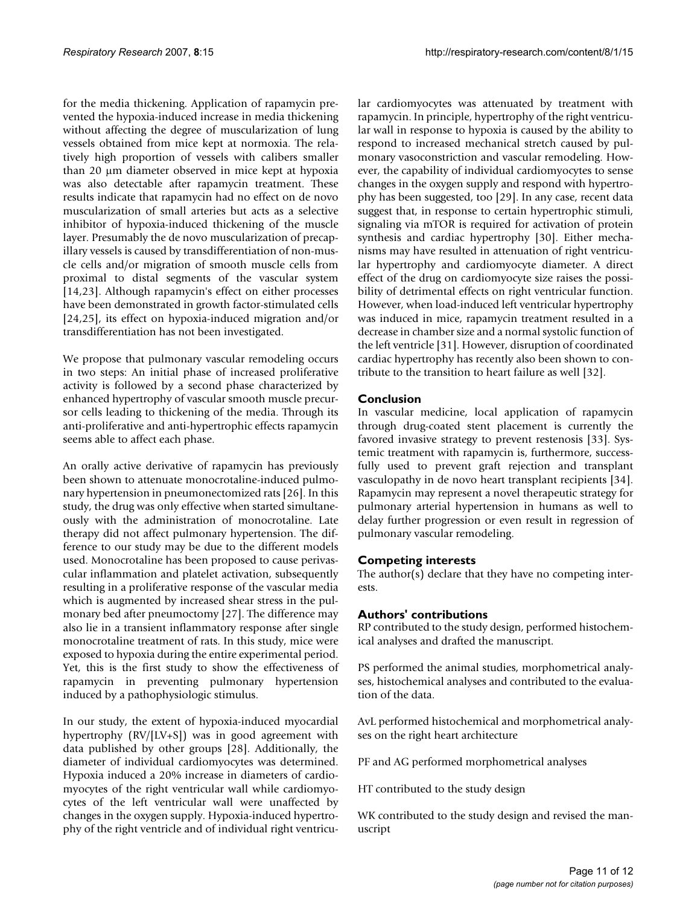for the media thickening. Application of rapamycin prevented the hypoxia-induced increase in media thickening without affecting the degree of muscularization of lung vessels obtained from mice kept at normoxia. The relatively high proportion of vessels with calibers smaller than 20 µm diameter observed in mice kept at hypoxia was also detectable after rapamycin treatment. These results indicate that rapamycin had no effect on de novo muscularization of small arteries but acts as a selective inhibitor of hypoxia-induced thickening of the muscle layer. Presumably the de novo muscularization of precapillary vessels is caused by transdifferentiation of non-muscle cells and/or migration of smooth muscle cells from proximal to distal segments of the vascular system [14,23]. Although rapamycin's effect on either processes have been demonstrated in growth factor-stimulated cells [24,25], its effect on hypoxia-induced migration and/or transdifferentiation has not been investigated.

We propose that pulmonary vascular remodeling occurs in two steps: An initial phase of increased proliferative activity is followed by a second phase characterized by enhanced hypertrophy of vascular smooth muscle precursor cells leading to thickening of the media. Through its anti-proliferative and anti-hypertrophic effects rapamycin seems able to affect each phase.

An orally active derivative of rapamycin has previously been shown to attenuate monocrotaline-induced pulmonary hypertension in pneumonectomized rats [26]. In this study, the drug was only effective when started simultaneously with the administration of monocrotaline. Late therapy did not affect pulmonary hypertension. The difference to our study may be due to the different models used. Monocrotaline has been proposed to cause perivascular inflammation and platelet activation, subsequently resulting in a proliferative response of the vascular media which is augmented by increased shear stress in the pulmonary bed after pneumoctomy [27]. The difference may also lie in a transient inflammatory response after single monocrotaline treatment of rats. In this study, mice were exposed to hypoxia during the entire experimental period. Yet, this is the first study to show the effectiveness of rapamycin in preventing pulmonary hypertension induced by a pathophysiologic stimulus.

In our study, the extent of hypoxia-induced myocardial hypertrophy (RV/[LV+S]) was in good agreement with data published by other groups [28]. Additionally, the diameter of individual cardiomyocytes was determined. Hypoxia induced a 20% increase in diameters of cardiomyocytes of the right ventricular wall while cardiomyocytes of the left ventricular wall were unaffected by changes in the oxygen supply. Hypoxia-induced hypertrophy of the right ventricle and of individual right ventricular cardiomyocytes was attenuated by treatment with rapamycin. In principle, hypertrophy of the right ventricular wall in response to hypoxia is caused by the ability to respond to increased mechanical stretch caused by pulmonary vasoconstriction and vascular remodeling. However, the capability of individual cardiomyocytes to sense changes in the oxygen supply and respond with hypertrophy has been suggested, too [29]. In any case, recent data suggest that, in response to certain hypertrophic stimuli, signaling via mTOR is required for activation of protein synthesis and cardiac hypertrophy [30]. Either mechanisms may have resulted in attenuation of right ventricular hypertrophy and cardiomyocyte diameter. A direct effect of the drug on cardiomyocyte size raises the possibility of detrimental effects on right ventricular function. However, when load-induced left ventricular hypertrophy was induced in mice, rapamycin treatment resulted in a decrease in chamber size and a normal systolic function of the left ventricle [31]. However, disruption of coordinated cardiac hypertrophy has recently also been shown to contribute to the transition to heart failure as well [32].

# **Conclusion**

In vascular medicine, local application of rapamycin through drug-coated stent placement is currently the favored invasive strategy to prevent restenosis [33]. Systemic treatment with rapamycin is, furthermore, successfully used to prevent graft rejection and transplant vasculopathy in de novo heart transplant recipients [34]. Rapamycin may represent a novel therapeutic strategy for pulmonary arterial hypertension in humans as well to delay further progression or even result in regression of pulmonary vascular remodeling.

# **Competing interests**

The author(s) declare that they have no competing interests.

# **Authors' contributions**

RP contributed to the study design, performed histochemical analyses and drafted the manuscript.

PS performed the animal studies, morphometrical analyses, histochemical analyses and contributed to the evaluation of the data.

AvL performed histochemical and morphometrical analyses on the right heart architecture

PF and AG performed morphometrical analyses

HT contributed to the study design

WK contributed to the study design and revised the manuscript